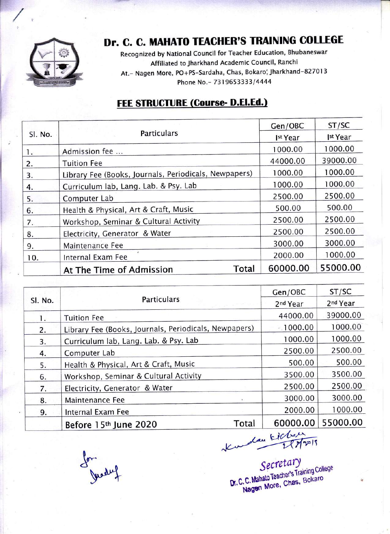

## Dr. C. C. MAHATO TEACHER'S TRAINING COLLEGE

Recognized by National Council for Teacher Education, Bhubaneswar Affiliated to Jharkhand Academic Council, Ranchi At. - Nagen More, PO+PS-Sardaha, Chas, Bokaro, Jharkhand-827013 Phone No. - 7319653333/4444

#### **FEE STRUCTURE (Course- D.El.Ed.)**

| SI. No. | <b>Particulars</b>                                    | Gen/OBC            | ST/SC              |
|---------|-------------------------------------------------------|--------------------|--------------------|
|         |                                                       | <sup>st</sup> Year | <sup>st</sup> Year |
| $1 -$   | Admission fee                                         | 1000.00            | 1000.00            |
| 2.      | <b>Tuition Fee</b>                                    | 44000.00           | 39000.00           |
| 3.      | Library Fee (Books, Journals, Periodicals, Newpapers) | 1000.00            | 1000.00            |
| 4.      | Curriculum lab, Lang. Lab. & Psy. Lab                 | 1000.00            | 1000.00            |
| 5.      | Computer Lab                                          | 2500.00            | 2500.00            |
| 6.      | Health & Physical, Art & Craft, Music                 | 500.00             | 500.00             |
| 7.      | Workshop, Seminar & Cultural Activity                 | 2500.00            | 2500.00            |
| 8.      | Electricity, Generator & Water                        | 2500.00            | 2500.00            |
| 9.      | Maintenance Fee                                       | 3000.00            | 3000.00            |
| 10.     | Internal Exam Fee                                     | 2000.00            | 1000.00            |
|         | Total<br>At The Time of Admission                     | 60000.00           | 55000.00           |

| SI. No. | <b>Particulars</b>                                    | Gen/OBC              | ST/SC                |
|---------|-------------------------------------------------------|----------------------|----------------------|
|         |                                                       | 2 <sup>nd</sup> Year | 2 <sup>nd</sup> Year |
| 1.      | <b>Tuition Fee</b>                                    | 44000.00             | 39000.00             |
| 2.      | Library Fee (Books, Journals, Periodicals, Newpapers) | 1000.00              | 1000.00              |
| 3.      | Curriculum lab, Lang. Lab. & Psy. Lab                 | 1000.00              | 1000.00              |
| 4.      | Computer Lab                                          | 2500.00              | 2500.00              |
| 5.      | Health & Physical, Art & Craft, Music                 | 500.00               | 500.00               |
| 6.      | Workshop, Seminar & Cultural Activity                 | 3500.00              | 3500.00              |
| 7.      | Electricity, Generator & Water                        | 2500.00              | 2500.00              |
| 8.      | Maintenance Fee                                       | 3000.00              | 3000.00              |
| 9.      | Internal Exam Fee                                     | 2000.00              | 1000.00              |
|         | Total<br>Before 15th June 2020                        | 60000.00             | 55000.00             |

can Eicher Ku

Secretary Dr. C. C. Mahato Teacher's Training College<br>Nagen More, Chas, Bokaro

for Jusaley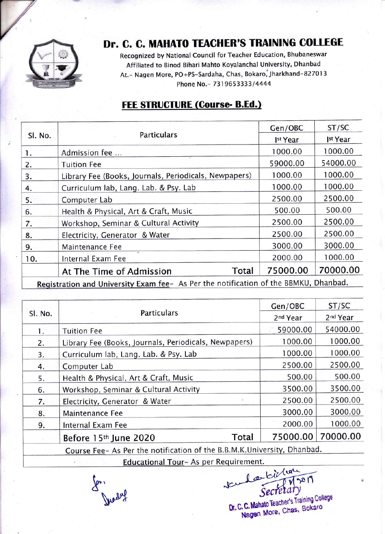

### Dr. C. C. MAHATO TEACHER'S TRAINING COLLEGE

Recognized by National Council for Teacher Education, Bhubaneswar Affiliated to Binod Bihari Mahto Koyalanchal University, Dhanbad At. - Nagen More, PO+PS-Sardaha, Chas, Bokaro, Jharkhand-827013 Phone No. - 7319653333/4444

#### **FEE STRUCTURE (Course- B.Ed.)**

| Sl. No.                                                                              | <b>Particulars</b>                                    | Gen/OBC  | ST/SC    |  |
|--------------------------------------------------------------------------------------|-------------------------------------------------------|----------|----------|--|
|                                                                                      |                                                       | Ist Year | Ist Year |  |
| 1.                                                                                   | Admission fee                                         | 1000.00  | 1000.00  |  |
| 2.                                                                                   | <b>Tuition Fee</b>                                    | 59000.00 | 54000.00 |  |
| 3.                                                                                   | Library Fee (Books, Journals, Periodicals, Newpapers) | 1000.00  | 1000.00  |  |
| 4.                                                                                   | Curriculum lab, Lang. Lab. & Psy. Lab                 | 1000.00  | 1000.00  |  |
| 5.                                                                                   | Computer Lab                                          | 2500.00  | 2500.00  |  |
| 6.                                                                                   | Health & Physical, Art & Craft, Music                 | 500.00   | 500.00   |  |
| 7.                                                                                   | Workshop, Seminar & Cultural Activity                 | 2500.00  | 2500.00  |  |
| 8.                                                                                   | Electricity, Generator & Water                        | 2500.00  | 2500.00  |  |
| 9.                                                                                   | Maintenance Fee                                       | 3000.00  | 3000.00  |  |
| 10.                                                                                  | Internal Exam Fee                                     | 2000.00  | 1000.00  |  |
|                                                                                      | Total<br>At The Time of Admission                     | 75000.00 | 70000.00 |  |
| Dhanhad<br>Buriated in and University Evans for the Derthe potification of the PRMKU |                                                       |          |          |  |

Registration and University Exam fee- As Per the notification of the BBMKU

| <b>Particulars</b>                                    | 2 <sup>nd</sup> Year | 2 <sup>nd</sup> Year                                                 |
|-------------------------------------------------------|----------------------|----------------------------------------------------------------------|
|                                                       |                      |                                                                      |
| <b>Tuition Fee</b>                                    | 59000.00             | 54000.00                                                             |
| Library Fee (Books, Journals, Periodicals, Newpapers) | 1000.00              | 1000.00                                                              |
| Curriculum lab, Lang. Lab. & Psy. Lab                 | 1000.00              | 1000.00                                                              |
| Computer Lab                                          | 2500.00              | 2500.00                                                              |
| Health & Physical, Art & Craft, Music                 | 500.00               | 500.00                                                               |
| Workshop, Seminar & Cultural Activity                 | 3500.00              | 3500.00                                                              |
| Electricity, Generator & Water                        | 2500.00              | 2500.00                                                              |
| Maintenance Fee                                       | 3000.00              | 3000.00                                                              |
| Internal Exam Fee                                     | 2000.00              | 1000.00                                                              |
| Total<br>Before 15th June 2020                        | 75000.00             | 70000.00                                                             |
|                                                       |                      | Course Las As Dartho potification of the P.P.M.V. University Dhanbad |

Course Fee- As Per the notification of the B.B.M.K.University, Dhanbad

Educational Tour- As per Requirement.

ture des billers Dr. C. C. Mahato Teacher's Training College Nagen More, Chas, Bokaro